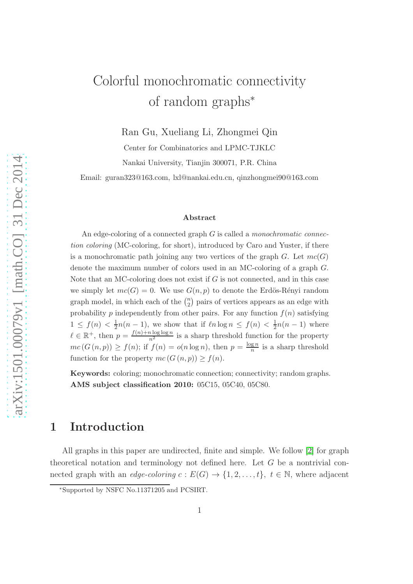# Colorful monochromatic connectivity of random graphs<sup>∗</sup>

Ran Gu, Xueliang Li, Zhongmei Qin

Center for Combinatorics and LPMC-TJKLC Nankai University, Tianjin 300071, P.R. China

Email: guran323@163.com, lxl@nankai.edu.cn, qinzhongmei90@163.com

#### Abstract

An edge-coloring of a connected graph G is called a monochromatic connection coloring (MC-coloring, for short), introduced by Caro and Yuster, if there is a monochromatic path joining any two vertices of the graph  $G$ . Let  $mc(G)$ denote the maximum number of colors used in an MC-coloring of a graph G. Note that an MC-coloring does not exist if  $G$  is not connected, and in this case we simply let  $mc(G) = 0$ . We use  $G(n, p)$  to denote the Erdös-Rényi random graph model, in which each of the  $\binom{n}{2}$  $n_2$ ) pairs of vertices appears as an edge with probability p independently from other pairs. For any function  $f(n)$  satisfying  $1 \leq f(n) < \frac{1}{2}$  $\frac{1}{2}n(n-1)$ , we show that if  $\ln \log n \le f(n) < \frac{1}{2}$  $\frac{1}{2}n(n-1)$  where  $\ell \in \mathbb{R}^+$ , then  $p = \frac{f(n) + n \log \log n}{n^2}$  is a sharp threshold function for the property  $mc(G(n,p)) \ge f(n)$ ; if  $f(n) = o(n \log n)$ , then  $p = \frac{\log n}{n}$  $\frac{\sin n}{n}$  is a sharp threshold function for the property  $mc(G(n, p)) \ge f(n)$ .

Keywords: coloring; monochromatic connection; connectivity; random graphs. AMS subject classification 2010: 05C15, 05C40, 05C80.

## 1 Introduction

All graphs in this paper are undirected, finite and simple. We follow [\[2\]](#page-6-0) for graph theoretical notation and terminology not defined here. Let G be a nontrivial connected graph with an *edge-coloring*  $c: E(G) \to \{1, 2, ..., t\}, t \in \mathbb{N}$ , where adjacent

<sup>∗</sup>Supported by NSFC No.11371205 and PCSIRT.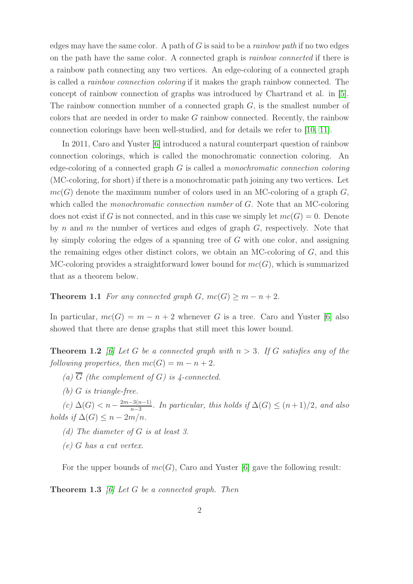edges may have the same color. A path of  $G$  is said to be a *rainbow path* if no two edges on the path have the same color. A connected graph is rainbow connected if there is a rainbow path connecting any two vertices. An edge-coloring of a connected graph is called a rainbow connection coloring if it makes the graph rainbow connected. The concept of rainbow connection of graphs was introduced by Chartrand et al. in [\[5\]](#page-6-1). The rainbow connection number of a connected graph  $G$ , is the smallest number of colors that are needed in order to make  $G$  rainbow connected. Recently, the rainbow connection colorings have been well-studied, and for details we refer to [\[10,](#page-6-2) [11\]](#page-6-3).

In 2011, Caro and Yuster [\[6\]](#page-6-4) introduced a natural counterpart question of rainbow connection colorings, which is called the monochromatic connection coloring. An edge-coloring of a connected graph  $G$  is called a *monochromatic connection coloring* (MC-coloring, for short) if there is a monochromatic path joining any two vertices. Let  $mc(G)$  denote the maximum number of colors used in an MC-coloring of a graph G, which called the *monochromatic connection number* of G. Note that an MC-coloring does not exist if G is not connected, and in this case we simply let  $mc(G) = 0$ . Denote by n and m the number of vertices and edges of graph  $G$ , respectively. Note that by simply coloring the edges of a spanning tree of  $G$  with one color, and assigning the remaining edges other distinct colors, we obtain an MC-coloring of  $G$ , and this MC-coloring provides a straightforward lower bound for  $mc(G)$ , which is summarized that as a theorem below.

### <span id="page-1-0"></span>**Theorem 1.1** For any connected graph G,  $mc(G) \geq m - n + 2$ .

In particular,  $mc(G) = m - n + 2$  whenever G is a tree. Caro and Yuster [\[6\]](#page-6-4) also showed that there are dense graphs that still meet this lower bound.

**Theorem 1.2** [\[6\]](#page-6-4) Let G be a connected graph with  $n > 3$ . If G satisfies any of the following properties, then  $mc(G) = m - n + 2$ .

- (a)  $\overline{G}$  (the complement of G) is 4-connected.
- $(b)$  G is triangle-free.

 $(c)$  ∆ $(G)$  < n –  $\frac{2m-3(n-1)}{n-3}$  $\frac{n-3(n-1)}{n-3}$ . In particular, this holds if  $\Delta(G) \leq (n+1)/2$ , and also holds if  $\Delta(G) \leq n - 2m/n$ .

- (d) The diameter of G is at least 3.
- (e) G has a cut vertex.

For the upper bounds of  $mc(G)$ , Caro and Yuster [\[6\]](#page-6-4) gave the following result:

**Theorem 1.3** [\[6\]](#page-6-4) Let G be a connected graph. Then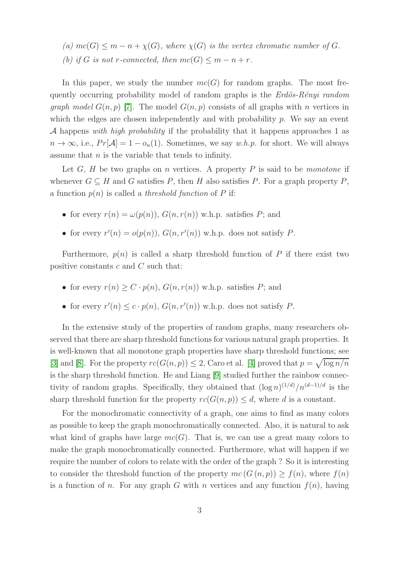(a)  $mc(G) \leq m - n + \chi(G)$ , where  $\chi(G)$  is the vertex chromatic number of G. (b) if G is not r-connected, then  $mc(G) \leq m - n + r$ .

In this paper, we study the number  $mc(G)$  for random graphs. The most frequently occurring probability model of random graphs is the  $Erd\ddot{o}s-R\acute{e}nui$  random *graph model*  $G(n, p)$  [\[7\]](#page-6-5). The model  $G(n, p)$  consists of all graphs with n vertices in which the edges are chosen independently and with probability  $p$ . We say an event A happens with high probability if the probability that it happens approaches 1 as  $n \to \infty$ , i.e.,  $Pr[\mathcal{A}] = 1 - o_n(1)$ . Sometimes, we say w.h.p. for short. We will always assume that  $n$  is the variable that tends to infinity.

Let  $G, H$  be two graphs on n vertices. A property P is said to be monotone if whenever  $G \subseteq H$  and G satisfies P, then H also satisfies P. For a graph property P, a function  $p(n)$  is called a *threshold function* of P if:

- for every  $r(n) = \omega(p(n))$ ,  $G(n, r(n))$  w.h.p. satisfies P; and
- for every  $r'(n) = o(p(n))$ ,  $G(n, r'(n))$  w.h.p. does not satisfy P.

Furthermore,  $p(n)$  is called a sharp threshold function of P if there exist two positive constants  $c$  and  $C$  such that:

- for every  $r(n) > C \cdot p(n)$ ,  $G(n, r(n))$  w.h.p. satisfies P; and
- for every  $r'(n) \leq c \cdot p(n)$ ,  $G(n, r'(n))$  w.h.p. does not satisfy P.

In the extensive study of the properties of random graphs, many researchers observed that there are sharp threshold functions for various natural graph properties. It is well-known that all monotone graph properties have sharp threshold functions; see [\[3\]](#page-6-6) and [\[8\]](#page-6-7). For the property  $rc(G(n, p)) \leq 2$ , Caro et al. [\[4\]](#page-6-8) proved that  $p = \sqrt{\log n/n}$ is the sharp threshold function. He and Liang [\[9\]](#page-6-9) studied further the rainbow connectivity of random graphs. Specifically, they obtained that  $(\log n)^{(1/d)}/n^{(d-1)/d}$  is the sharp threshold function for the property  $rc(G(n, p)) \leq d$ , where d is a constant.

For the monochromatic connectivity of a graph, one aims to find as many colors as possible to keep the graph monochromatically connected. Also, it is natural to ask what kind of graphs have large  $mc(G)$ . That is, we can use a great many colors to make the graph monochromatically connected. Furthermore, what will happen if we require the number of colors to relate with the order of the graph ? So it is interesting to consider the threshold function of the property  $mc(G(n, p)) > f(n)$ , where  $f(n)$ is a function of n. For any graph G with n vertices and any function  $f(n)$ , having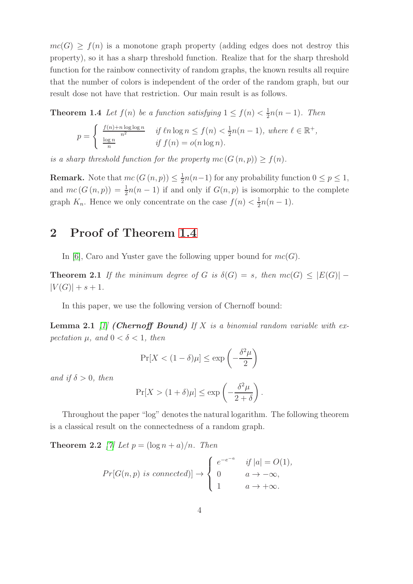$mc(G) \ge f(n)$  is a monotone graph property (adding edges does not destroy this property), so it has a sharp threshold function. Realize that for the sharp threshold function for the rainbow connectivity of random graphs, the known results all require that the number of colors is independent of the order of the random graph, but our result dose not have that restriction. Our main result is as follows.

**Theorem 1.4** Let  $f(n)$  be a function satisfying  $1 \le f(n) < \frac{1}{2}$  $\frac{1}{2}n(n-1)$ . Then

<span id="page-3-0"></span>
$$
p = \begin{cases} \frac{f(n) + n \log \log n}{n^2} & \text{if } \ell n \log n \le f(n) < \frac{1}{2}n(n-1), \text{ where } \ell \in \mathbb{R}^+, \\ \frac{\log n}{n} & \text{if } f(n) = o(n \log n). \end{cases}
$$

is a sharp threshold function for the property  $mc(G(n, p)) \ge f(n)$ .

**Remark.** Note that  $mc(G(n, p)) \leq \frac{1}{2}$  $\frac{1}{2}n(n-1)$  for any probability function  $0 \le p \le 1$ , and  $mc(G(n,p)) = \frac{1}{2}n(n-1)$  if and only if  $G(n,p)$  is isomorphic to the complete graph  $K_n$ . Hence we only concentrate on the case  $f(n) < \frac{1}{2}$  $\frac{1}{2}n(n-1).$ 

## 2 Proof of Theorem [1.4](#page-3-0)

In [\[6\]](#page-6-4), Caro and Yuster gave the following upper bound for  $mc(G)$ .

**Theorem 2.1** If the minimum degree of G is  $\delta(G) = s$ , then  $mc(G) \leq |E(G)|$  –  $|V(G)| + s + 1.$ 

<span id="page-3-2"></span>In this paper, we use the following version of Chernoff bound:

**Lemma 2.1** [\[1\]](#page-6-10) (Chernoff Bound) If X is a binomial random variable with expectation  $\mu$ , and  $0 < \delta < 1$ , then

<span id="page-3-3"></span>
$$
\Pr[X < (1 - \delta)\mu] \le \exp\left(-\frac{\delta^2 \mu}{2}\right)
$$

and if  $\delta > 0$ , then

<span id="page-3-1"></span>
$$
\Pr[X > (1+\delta)\mu] \le \exp\left(-\frac{\delta^2 \mu}{2+\delta}\right).
$$

Throughout the paper "log" denotes the natural logarithm. The following theorem is a classical result on the connectedness of a random graph.

**Theorem 2.2** [\[7\]](#page-6-5) Let  $p = (\log n + a)/n$ . Then

$$
Pr[G(n,p) \text{ is connected})] \rightarrow \begin{cases} e^{-e^{-a}} & \text{if } |a| = O(1), \\ 0 & a \rightarrow -\infty, \\ 1 & a \rightarrow +\infty. \end{cases}
$$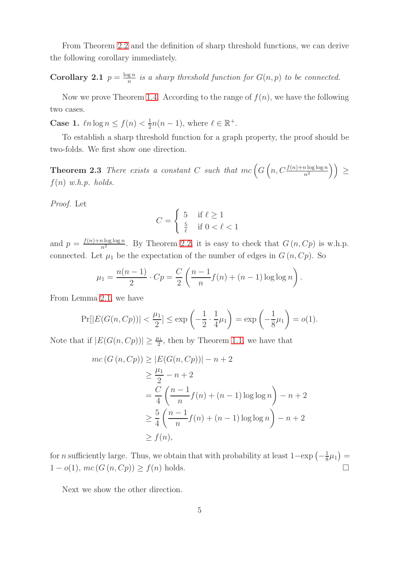<span id="page-4-0"></span>From Theorem [2.2](#page-3-1) and the definition of sharp threshold functions, we can derive the following corollary immediately.

Corollary 2.1  $p = \frac{\log n}{n}$  $\frac{g\,n}{n}$  is a sharp threshold function for  $G(n,p)$  to be connected.

Now we prove Theorem [1.4.](#page-3-0) According to the range of  $f(n)$ , we have the following two cases.

**Case 1.**  $ln \log n \leq f(n) < \frac{1}{2}$  $\frac{1}{2}n(n-1)$ , where  $\ell \in \mathbb{R}^+$ .

To establish a sharp threshold function for a graph property, the proof should be two-folds. We first show one direction.

**Theorem 2.3** There exists a constant C such that  $mc\left(G\left(n, C\frac{f(n)+n\log\log n}{n^2}\right)\right) \ge$  $f(n)$  w.h.p. holds.

Proof. Let

$$
C = \begin{cases} 5 & \text{if } \ell \ge 1\\ \frac{5}{\ell} & \text{if } 0 < \ell < 1 \end{cases}
$$

and  $p = \frac{f(n) + n \log \log n}{n^2}$ . By Theorem [2.2,](#page-3-1) it is easy to check that  $G(n, Cp)$  is w.h.p. connected. Let  $\mu_1$  be the expectation of the number of edges in  $G(n, Cp)$ . So

$$
\mu_1 = \frac{n(n-1)}{2} \cdot Cp = \frac{C}{2} \left( \frac{n-1}{n} f(n) + (n-1) \log \log n \right).
$$

From Lemma [2.1,](#page-3-2) we have

$$
\Pr[|E(G(n, Cp))| < \frac{\mu_1}{2}] \le \exp\left(-\frac{1}{2} \cdot \frac{1}{4}\mu_1\right) = \exp\left(-\frac{1}{8}\mu_1\right) = o(1).
$$

Note that if  $|E(G(n, Cp))| \geq \frac{\mu_1}{2}$ , then by Theorem [1.1,](#page-1-0) we have that

$$
mc(G(n, Cp)) \ge |E(G(n, Cp))| - n + 2
$$
  
\n
$$
\ge \frac{\mu_1}{2} - n + 2
$$
  
\n
$$
= \frac{C}{4} \left( \frac{n-1}{n} f(n) + (n-1) \log \log n \right) - n + 2
$$
  
\n
$$
\ge \frac{5}{4} \left( \frac{n-1}{n} f(n) + (n-1) \log \log n \right) - n + 2
$$
  
\n
$$
\ge f(n),
$$

for *n* sufficiently large. Thus, we obtain that with probability at least  $1-\exp\left(-\frac{1}{8}\right)$  $(\frac{1}{8}\mu_1) =$  $1 - o(1), mc(G(n, Cp)) \ge f(n)$  holds.

Next we show the other direction.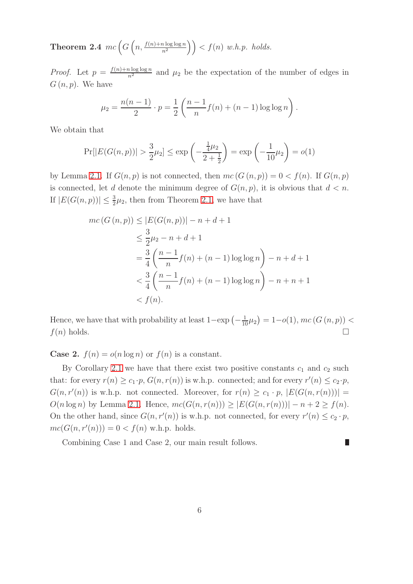**Theorem 2.4**  $mc\left(G\left(n,\frac{f(n)+n\log\log n}{n^2}\right)\right) < f(n)$  w.h.p. holds.

*Proof.* Let  $p = \frac{f(n) + n \log \log n}{n^2}$  and  $\mu_2$  be the expectation of the number of edges in  $G(n, p)$ . We have

$$
\mu_2 = \frac{n(n-1)}{2} \cdot p = \frac{1}{2} \left( \frac{n-1}{n} f(n) + (n-1) \log \log n \right).
$$

We obtain that

$$
\Pr[|E(G(n, p))| > \frac{3}{2}\mu_2] \le \exp\left(-\frac{\frac{1}{4}\mu_2}{2 + \frac{1}{2}}\right) = \exp\left(-\frac{1}{10}\mu_2\right) = o(1)
$$

by Lemma [2.1.](#page-3-2) If  $G(n, p)$  is not connected, then  $mc(G(n, p)) = 0 < f(n)$ . If  $G(n, p)$ is connected, let d denote the minimum degree of  $G(n, p)$ , it is obvious that  $d < n$ . If  $|E(G(n, p))| \leq \frac{3}{2}\mu_2$ , then from Theorem [2.1,](#page-3-3) we have that

$$
mc(G(n, p)) \le |E(G(n, p))| - n + d + 1
$$
  
\n
$$
\le \frac{3}{2}\mu_2 - n + d + 1
$$
  
\n
$$
= \frac{3}{4}\left(\frac{n-1}{n}f(n) + (n-1)\log\log n\right) - n + d + 1
$$
  
\n
$$
< \frac{3}{4}\left(\frac{n-1}{n}f(n) + (n-1)\log\log n\right) - n + n + 1
$$
  
\n
$$
< f(n).
$$

Hence, we have that with probability at least  $1-\exp(-\frac{1}{10}\mu_2) = 1-o(1)$ ,  $mc(G(n, p)) <$  $f(n)$  holds.

**Case 2.**  $f(n) = o(n \log n)$  or  $f(n)$  is a constant.

By Corollary [2.1](#page-4-0) we have that there exist two positive constants  $c_1$  and  $c_2$  such that: for every  $r(n) \geq c_1 \cdot p$ ,  $G(n, r(n))$  is w.h.p. connected; and for every  $r'(n) \leq c_2 \cdot p$ ,  $G(n, r'(n))$  is w.h.p. not connected. Moreover, for  $r(n) \ge c_1 \cdot p$ ,  $|E(G(n, r(n)))|$  =  $O(n \log n)$  by Lemma [2.1.](#page-3-2) Hence,  $mc(G(n, r(n))) \geq |E(G(n, r(n)))| - n + 2 \geq f(n)$ . On the other hand, since  $G(n, r'(n))$  is w.h.p. not connected, for every  $r'(n) \leq c_2 \cdot p$ ,  $mc(G(n, r'(n))) = 0 < f(n)$  w.h.p. holds.

 $\overline{\phantom{a}}$ 

Combining Case 1 and Case 2, our main result follows.